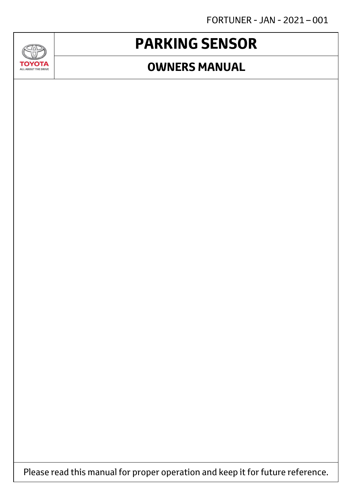FORTUNER - JAN - 2021 – 001

# **PARKING SENSOR**

**AND** 

**TOYOTA** ALL ABOUT THE DRIVE

### **OWNERS MANUAL**

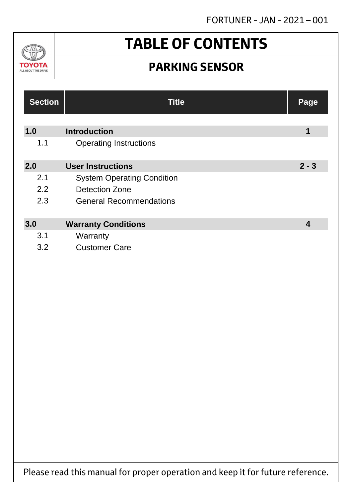

# **TABLE OF CONTENTS**

### **PARKING SENSOR**

| <b>Section</b> | <b>Title</b>                      | Page    |
|----------------|-----------------------------------|---------|
|                |                                   |         |
| 1.0            | <b>Introduction</b>               | 1       |
| 1.1            | <b>Operating Instructions</b>     |         |
|                |                                   |         |
| 2.0            | <b>User Instructions</b>          | $2 - 3$ |
| 2.1            | <b>System Operating Condition</b> |         |
| 2.2            | Detection Zone                    |         |
| 2.3            | <b>General Recommendations</b>    |         |
|                |                                   |         |
| 3.0            | <b>Warranty Conditions</b>        | 4       |
| 3.1            | Warranty                          |         |
| 3.2            | <b>Customer Care</b>              |         |

Please read this manual for proper operation and keep it for future reference.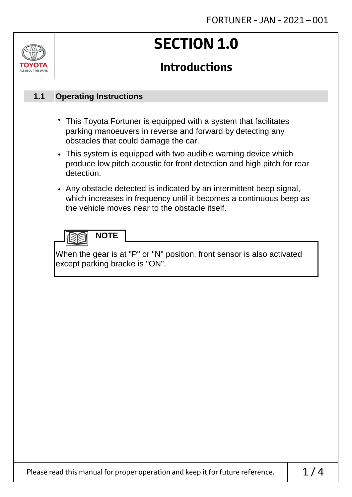# ALL ABOUT THE DRIVE

# **SECTION 1.0**

### **Introductions**

#### **Operating Instructions 1.1**

- This Toyota Fortuner is equipped with a system that facilitates parking manoeuvers in reverse and forward by detecting any obstacles that could damage the car.
- This system is equipped with two audible warning device which produce low pitch acoustic for front detection and high pitch for rear detection.
- Any obstacle detected is indicated by an intermittent beep signal, which increases in frequency until it becomes a continuous beep as the vehicle moves near to the obstacle itself.



When the gear is at "P" or "N" position, front sensor is also activated except parking bracke is "ON".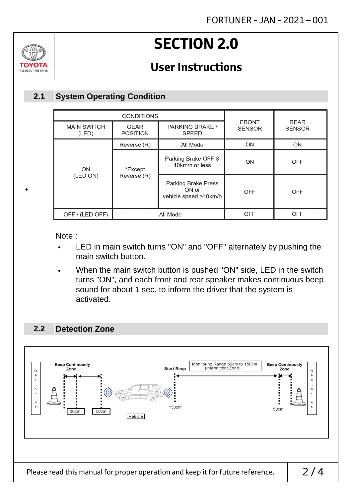

•

# **SECTION 2.0**

### **User Instructions**

#### **System Operating Condition 2.1**

|  | <b>CONDITIONS</b>           |                                |                                                              |                               |                              |
|--|-----------------------------|--------------------------------|--------------------------------------------------------------|-------------------------------|------------------------------|
|  | <b>MAIN SWITCH</b><br>(LED) | <b>GEAR</b><br><b>POSITION</b> | PARKING BRAKE /<br><b>SPEED</b>                              | <b>FRONT</b><br><b>SENSOR</b> | <b>REAR</b><br><b>SENSOR</b> |
|  |                             | Reverse (R)                    | All Mode                                                     | ON                            | ON                           |
|  | ON                          | *Except<br>Reverse (R)         | Parking Brake OFF &<br>10km/h or less                        | ON                            | <b>OFF</b>                   |
|  | (LED ON)                    |                                | <b>Parking Brake Press</b><br>ON or<br>vehicle speed >10km/h | <b>OFF</b>                    | <b>OFF</b>                   |
|  | OFF / (LED OFF)             |                                | All Mode                                                     |                               | <b>OFF</b>                   |

Note :

- LED in main switch turns "ON" and "OFF" alternately by pushing the main switch button.
- When the main switch button is pushed "ON" side, LED in the switch turns "ON", and each front and rear speaker makes continuous beep sound for about 1 sec. to inform the driver that the system is activated.

#### **Detection Zone 2.2**

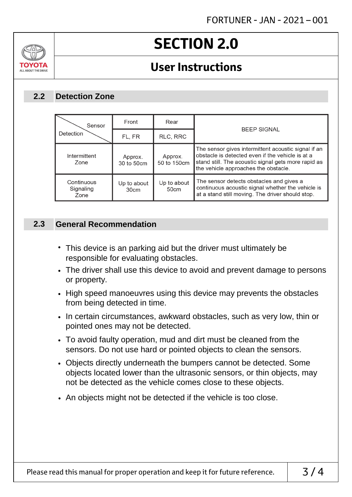# **SECTION 2.0**

### **User Instructions**

#### **Detection Zone 2.2**

ALL AROUT THE DRIV

| Sensor                          | Front                 | Rear                   | <b>BEEP SIGNAL</b>                                                                                                                                                                                     |
|---------------------------------|-----------------------|------------------------|--------------------------------------------------------------------------------------------------------------------------------------------------------------------------------------------------------|
| Detection                       | FL, FR                | RLC, RRC               |                                                                                                                                                                                                        |
| Intermittent<br>Zone            | Approx.<br>30 to 50cm | Approx.<br>50 to 150cm | The sensor gives intermittent acoustic signal if an<br>obstacle is detected even if the vehicle is at a<br>stand still. The acoustic signal gets more rapid as<br>the vehicle approaches the obstacle. |
| Continuous<br>Signaling<br>Zone | Up to about<br>30cm   | Up to about<br>50cm    | The sensor detects obstacles and gives a<br>continuous acoustic signal whether the vehicle is<br>at a stand still moving. The driver should stop.                                                      |

#### **General Recommendation 2.3**

- This device is an parking aid but the driver must ultimately be responsible for evaluating obstacles.
- The driver shall use this device to avoid and prevent damage to persons or property.
- High speed manoeuvres using this device may prevents the obstacles from being detected in time.
- In certain circumstances, awkward obstacles, such as very low, thin or pointed ones may not be detected.
- To avoid faulty operation, mud and dirt must be cleaned from the sensors. Do not use hard or pointed objects to clean the sensors.
- Objects directly underneath the bumpers cannot be detected. Some objects located lower than the ultrasonic sensors, or thin objects, may not be detected as the vehicle comes close to these objects.
- An objects might not be detected if the vehicle is too close.